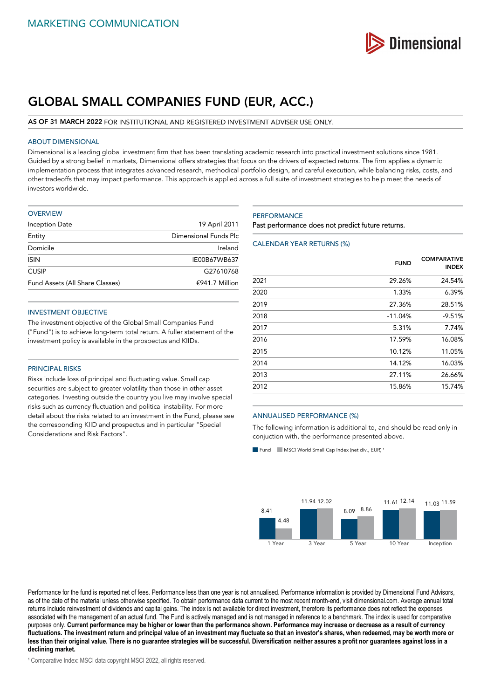

# **GLOBAL SMALL COMPANIES FUND (EUR, ACC.)**

#### **AS OF 31 MARCH 2022** FOR INSTITUTIONAL AND REGISTERED INVESTMENT ADVISER USE ONLY.

## ABOUT DIMENSIONAL

Dimensional is a leading global investment firm that has been translating academic research into practical investment solutions since 1981. Guided by a strong belief in markets, Dimensional offers strategies that focus on the drivers of expected returns. The firm applies a dynamic implementation process that integrates advanced research, methodical portfolio design, and careful execution, while balancing risks, costs, and other tradeoffs that may impact performance. This approach is applied across a full suite of investment strategies to help meet the needs of investors worldwide.

| <b>OVERVIEW</b>                 |                       |
|---------------------------------|-----------------------|
| Inception Date                  | 19 April 2011         |
| Entity                          | Dimensional Funds Plc |
| Domicile                        | Ireland               |
| <b>ISIN</b>                     | IE00B67WB637          |
| <b>CUSIP</b>                    | G27610768             |
| Fund Assets (All Share Classes) | €941.7 Million        |

#### INVESTMENT OBJECTIVE

The investment objective of the Global Small Companies Fund ("Fund") is to achieve long-term total return. A fuller statement of the investment policy is available in the prospectus and KIIDs.

### PRINCIPAL RISKS

Risks include loss of principal and fluctuating value. Small cap securities are subject to greater volatility than those in other asset categories. Investing outside the country you live may involve special risks such as currency fluctuation and political instability. For more detail about the risks related to an investment in the Fund, please see the corresponding KIID and prospectus and in particular "Special Considerations and Risk Factors".

#### **PERFORMANCE**

Past performance does not predict future returns.

## CALENDAR YEAR RETURNS (%)

|      | <b>FUND</b> | <b>COMPARATIVE</b><br><b>INDEX</b> |
|------|-------------|------------------------------------|
| 2021 | 29.26%      | 24.54%                             |
| 2020 | 1.33%       | 6.39%                              |
| 2019 | 27.36%      | 28.51%                             |
| 2018 | $-11.04%$   | $-9.51%$                           |
| 2017 | 5.31%       | 7.74%                              |
| 2016 | 17.59%      | 16.08%                             |
| 2015 | 10.12%      | 11.05%                             |
| 2014 | 14.12%      | 16.03%                             |
| 2013 | 27.11%      | 26.66%                             |
| 2012 | 15.86%      | 15.74%                             |

#### ANNUALISED PERFORMANCE (%)

The following information is additional to, and should be read only in conjuction with, the performance presented above.

Fund MSCI World Small Cap Index (net div., EUR)



Performance for the fund is reported net of fees. Performance less than one year is not annualised. Performance information is provided by Dimensional Fund Advisors, as of the date of the material unless otherwise specified. To obtain performance data current to the most recent month-end, visit dimensional.com. Average annual total returns include reinvestment of dividends and capital gains. The index is not available for direct investment, therefore its performance does not reflect the expenses associated with the management of an actual fund. The Fund is actively managed and is not managed in reference to a benchmark. The index is used for comparative purposes only. **Current performance may be higher or lower than the performance shown. Performance may increase or decrease as a result of currency fluctuations. The investment return and principal value of an investment may fluctuate so that an investor's shares, when redeemed, may be worth more or less than their original value. There is no guarantee strategies will be successful. Diversification neither assures a profit nor guarantees against loss in a declining market.**

<sup>1</sup> Comparative Index: MSCI data copyright MSCI 2022, all rights reserved.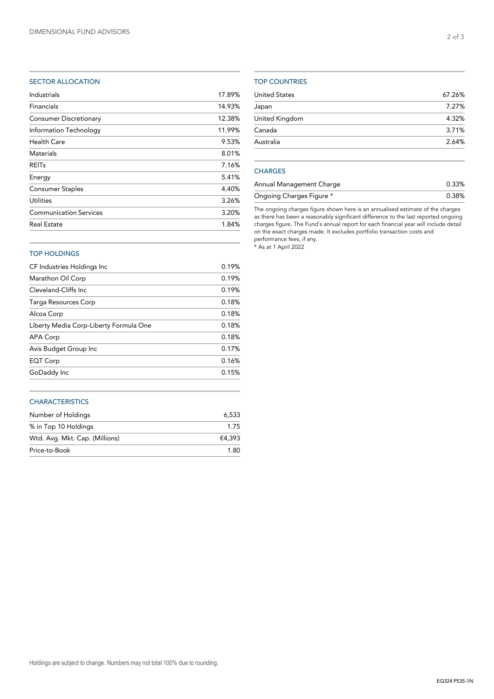## SECTOR ALLOCATION

| Industrials                   | 17.89% |
|-------------------------------|--------|
| Financials                    | 14.93% |
| <b>Consumer Discretionary</b> | 12.38% |
| Information Technology        | 11.99% |
| Health Care                   | 9.53%  |
| <b>Materials</b>              | 8.01%  |
| <b>REITs</b>                  | 7.16%  |
| Energy                        | 5.41%  |
| <b>Consumer Staples</b>       | 4.40%  |
| <b>Utilities</b>              | 3.26%  |
| <b>Communication Services</b> | 3.20%  |
| <b>Real Estate</b>            | 1.84%  |
|                               |        |

## TOP COUNTRIES

| 7.27% |
|-------|
|       |
| 4.32% |
| 3.71% |
| 2.64% |
|       |

# **CHARGES**

| Annual Management Charge | 0.33% |
|--------------------------|-------|
| Ongoing Charges Figure * | 0.38% |

The ongoing charges figure shown here is an annualised estimate of the charges as there has been a reasonably significant difference to the last reported ongoing charges figure. The Fund's annual report for each financial year will include detail on the exact charges made. It excludes portfolio transaction costs and performance fees, if any.

\* As at 1 April 2022

# TOP HOLDINGS

| CF Industries Holdings Inc             | 0.19% |
|----------------------------------------|-------|
| Marathon Oil Corp                      | 0.19% |
| Cleveland-Cliffs Inc.                  | 0.19% |
| Targa Resources Corp                   | 0.18% |
| Alcoa Corp                             | 0.18% |
| Liberty Media Corp-Liberty Formula One | 0.18% |
| APA Corp                               | 0.18% |
| Avis Budget Group Inc                  | 0.17% |
| EQT Corp                               | 0.16% |
| GoDaddy Inc                            | 0.15% |
|                                        |       |

## **CHARACTERISTICS**

| Number of Holdings             | 6.533  |
|--------------------------------|--------|
| % in Top 10 Holdings           | 1.75   |
| Wtd. Avg. Mkt. Cap. (Millions) | €4.393 |
| Price-to-Book                  | 1.80   |